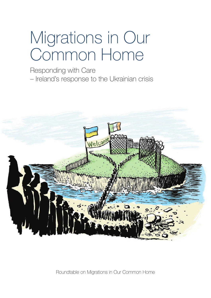# Migrations in Our Common Home

Responding with Care – Ireland's response to the Ukrainian crisis



Roundtable on Migrations in Our Common Home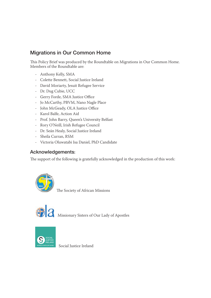#### Migrations in Our Common Home

This Policy Brief was produced by the Roundtable on Migrations in Our Common Home. Members of the Roundtable are:

- Anthony Kelly, SMA
- Colette Bennett, Social Justice Ireland
- David Moriarty, Jesuit Refugee Service
- Dr. Dug Cubie, UCC
- Gerry Forde, SMA Justice Office
- Jo McCarthy, PBVM, Nano Nagle Place
- John McGeady, OLA Justice Office
- Karol Balfe, Action Aid
- Prof. John Barry, Queen's University Belfast
- Rory O'Neill, Irish Refugee Council
- Dr. Seán Healy, Social Justice Ireland
- Sheila Curran, RSM
- Victoria Oluwatabi Isa Daniel, PhD Candidate

#### Acknowledgements:

The support of the following is gratefully acknowledged in the production of this work:



The Society of African Missions



Missionary Sisters of Our Lady of Apostles



Social Justice Ireland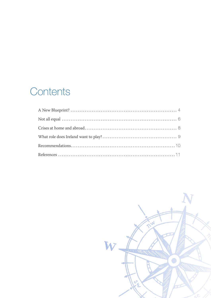## Contents

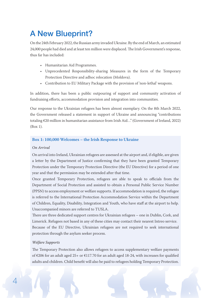## A New Blueprint?

On the 24th February 2022, the Russian army invaded Ukraine. By the end of March, an estimated 24,000 people had died and at least ten million were displaced. The Irish Government's response, thus far has included:

- Humanitarian Aid Programmes.
- Unprecedented Responsibility-sharing Measures in the form of the Temporary Protection Directive and adhoc relocation (Moldova).
- Contribution to EU Military Package with the provision of 'non-lethal' weapons.

In addition, there has been a public outpouring of support and community activation of fundraising efforts, accommodation provision and integration into communities.

Our response to the Ukrainian refugees has been almost exemplary. On the 8th March 2022, the Government released a statement in support of Ukraine and announcing "contributions totaling €20 million in humanitarian assistance from Irish Aid…" (Government of Ireland, 2022) (Box 1).

#### **Box 1: 100,000 Welcomes – the Irish Response to Ukraine**

#### *On Arrival*

On arrival into Ireland, Ukrainian refugees are assessed at the airport and, if eligible, are given a letter by the Department of Justice confirming that they have been granted Temporary Protection under the Temporary Protection Directive (the EU Directive) for a period of one year and that the permission may be extended after that time.

Once granted Temporary Protection, refugees are able to speak to officials from the Department of Social Protection and assisted to obtain a Personal Public Service Number (PPSN) to access employment or welfare supports. If accommodation is required, the refugee is referred to the International Protection Accommodation Service within the Department of Children, Equality, Disability, Integration and Youth, who have staff at the airport to help. Unaccompanied minors are referred to TUSLA.

There are three dedicated support centres for Ukrainian refugees – one in Dublin, Cork, and Limerick. Refugees not based in any of these cities may contact their nearest Intreo service. Because of the EU Directive, Ukrainian refugees are not required to seek international protection through the asylum seeker process.

#### *Welfare Supports*

The Temporary Protection also allows refugees to access supplementary welfare payments of €206 for an adult aged 25+ or €117.70 for an adult aged 18-24, with increases for qualified adults and children. Child benefit will also be paid to refugees holding Temporary Protection.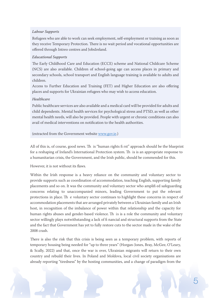#### *Labour Supports*

Refugees who are able to work can seek employment, self-employment or training as soon as they receive Temporary Protection. There is no wait period and vocational opportunities are offered through Intreo centres and JobsIreland.

#### *Educational Supports*

The Early Childhood Care and Education (ECCE) scheme and National Childcare Scheme (NCS) are also available. Children of school-going age can access places in primary and secondary schools, school transport and English language training is available to adults and children.

Access to Further Education and Training (FET) and Higher Education are also offering places and supports for Ukrainian refugees who may wish to access education.

#### *Healthcare*

Public healthcare services are also available and a medical card will be provided for adults and child dependents. Mental health services for psychological stress and PTSD, as well as other mental health needs, will also be provided. People with urgent or chronic conditions can also avail of medical interventions on notification to the health authorities.

#### (extracted from the Government website www.gov.ie.)

All of this is, of course, good news. Th is "human rights fi rst" approach should be the blueprint for a reshaping of Ireland's International Protection system. Th is is an appropriate response to a humanitarian crisis, the Government, and the Irish public, should be commended for this.

#### However, it is not without its flaws.

Within the Irish response is a heavy reliance on the community and voluntary sector to provide supports such as coordination of accommodation, teaching English, supporting family placements and so on. It was the community and voluntary sector who amplifi ed safeguarding concerns relating to unaccompanied minors, leading Government to put the relevant protections in place. Th e voluntary sector continues to highlight these concerns in respect of accommodation placements that are arranged privately between a Ukrainian family and an Irish host, in recognition of the imbalance of power within that relationship and the capacity for human rights abuses and gender-based violence. Th is is a role the community and voluntary sector willingly plays notwithstanding a lack of fi nancial and structural supports from the State and the fact that Government has yet to fully restore cuts to the sector made in the wake of the 2008 crash.

There is also the risk that this crisis is being seen as a temporary problem, with reports of temporary housing being needed for "up to three years" (Horgan-Jones, Bray, McGee, O'Leary, & Scally, 2022) and that, once the war is over, Ukrainian migrants will return to their own country and rebuild their lives. In Poland and Moldova, local civil society organisations are already reporting "tiredness" by the hosting communities, and a change of paradigm from the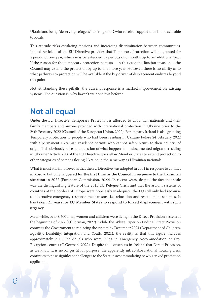Ukrainians being "deserving refugees" to "migrants", who receive support that is not available to locals.

This attitude risks escalating tensions and increasing discrimination between communities. Indeed Article 4 of the EU Directive provides that Temporary Protection will be granted for a period of one year, which may be extended by periods of 6 months up to an additional year. If the reason for the temporary protection persists – in this case the Russian invasion – the Council may extend the protection by up to one more year. However, there is no clarity as to what pathways to protection will be available if the key driver of displacement endures beyond this point.

Notwithstanding these pitfalls, the current response is a marked improvement on existing systems. The question is, why haven't we done this before?

## Not all equal

Under the EU Directive, Temporary Protection is afforded to Ukrainian nationals and their family members and anyone provided with international protection in Ukraine prior to the 24th February 2022 (Council of the European Union, 2022). For its part, Ireland is also granting Temporary Protection to people who had been residing in Ukraine before 24 February 2022 with a permanent Ukrainian residence permit, who cannot safely return to their country of origin. This obviously raises the question of what happens to undocumented migrants residing in Ukraine? Article 7(1) of the EU Directive does allow Member States to extend protection to other categories of persons fleeing Ukraine in the same way as Ukrainian nationals.

What is most stark, however, is that the EU Directive was adopted in 2001 in response to conflict in Kosovo but only **triggered for the first time by the Council in response to the Ukrainian situation in 2022** (European Commission, 2022). In recent years, despite the fact that scale was the distinguishing feature of the 2015 EU Refugee Crisis and that the asylum systems of countries at the borders of Europe were hopelessly inadequate, the EU still only had recourse to alternative emergency response mechanisms, i.e. relocation and resettlement schemes. **It has taken 21 years for EU Member States to respond to forced displacement with such urgency.**

Meanwhile, over 8,500 men, women and children were living in the Direct Provision system at the beginning of 2022 (O'Gorman, 2022). While the White Paper on Ending Direct Provision commits the Government to replacing the system by December 2024 (Department of Children, Equality, Disability, Integration and Youth, 2021), the reality is that this figure includes approximately 2,000 individuals who were living in Emergency Accommodation or Pre-Reception centres (O'Gorman, 2022). Despite the consensus in Ireland that Direct Provision, as we know it, is no longer fit for purpose, the apparently intractable national housing crisis continues to pose significant challenges to the State in accommodating newly arrived protection applicants.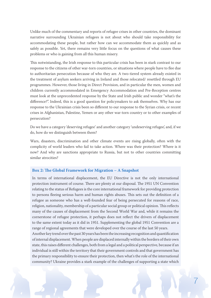Unlike much of the commentary and reports of refugee crises in other countries, the dominant narrative surrounding Ukrainian refugees is not about who should take responsibility for accommodating these people, but rather how can we accommodate them as quickly and as safely as possible. Yet, there remains very little focus on the questions of what causes these problems or who is gaining from all this human misery.

This notwistanding, the Irish response to this particular crisis has been in stark contrast to our response to the citizens of other war-torn countries, or situations where people have to flee due to authoritarian persecution because of who they are. A two-tiered system already existed in the treatment of asylum seekers arriving in Ireland and those relocated/ resettled through EU programmes. However, those living in Direct Provision, and in particular the men, women and children currently accommodated in Emergency Accommodation and Pre-Reception centres must look at the unprecedented response by the State and Irish public and wonder "what's the difference?". Indeed, this is a good question for policymakers to ask themselves. Why has our response to the Ukrainian crisis been so different to our response to the Syrian crisis, or recent crises in Afghanistan, Palestine, Yemen or any other war-torn country or to other examples of persecution?

Do we have a category 'deserving refugee' and another category 'undeserving refugee', and, if we do, how do we distinguish between them?

Wars, disasters, discrimination and other climate events are rising globally, often with the complicity of world leaders who fail to take action. Where was their protection? Where is it now? And why are sanctions appropriate to Russia, but not to other countries committing similar atrocities?

#### Box 2: The Global Framework for Migration – A Snapshot

In terms of international displacement, the EU Directive is not the only international protection instrument of course. There are plenty at our disposal. The 1951 UN Convention relating to the status of Refugees is the core international framework for providing protection to persons fleeing serious harm and human rights abuses. This sets out the definition of a refugee as someone who has a well-founded fear of being persecuted for reasons of race, religion, nationality, membership of a particular social group or political opinion. This reflects many of the causes of displacement from the Second World War and, while it remains the cornerstone of refugee protection, it perhaps does not reflect the drivers of displacement to the same extent today as it did in 1951. Supplementing the global 1951 Convention are a range of regional agreements that were developed over the course of the last 50 years.

Another key trend over the past 30 years has been the increasing recognition and quantification of internal displacement. When people are displaced internally within the borders of their own state, this raises different challenges, both from a legal and a political perspective, because if an individual is still within the territory that their government controls and that government has the primary responsibility to ensure their protection, then what's the role of the international community? Ukraine provides a stark example of the challenges of supporting a state which

7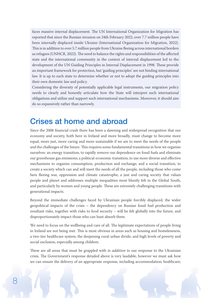faces massive internal displacement. The UN International Organization for Migration has reported that since the Russian invasion on 24th February 2022, over 7.7 million people have been internally displaced inside Ukraine (International Organization for Migration, 2022). This is in addition to over 5.7 million people from Ukraine fleeing across international borders as refugees (UNHCR, 2022). The need to balance the rights and responsibilities of the affected state and the international community in the context of internal displacement led to the development of the UN Guiding Principles in Internal Displacement in 1998. These provide an important framework for protection, but 'guiding principles' are not binding international law. It is up to each state to determine whether or not to adopt the guiding principles into their own domestic law and policy.

Considering the diversity of potentially applicable legal instruments, our migration policy needs to clearly and honestly articulate how the State will interpret such international obligations and utilize and support such international mechanisms. Moreover, it should aim do so expansively rather than narrowly.

### Crises at home and abroad

Since the 2008 financial crash there has been a dawning and widespread recognition that our economy and society, both here in Ireland and more broadly, must change to become more equal, more just, more caring and more sustainable if we are to meet the needs of the people and the challenges of the future. This requires some fundamental transitions in how we organise ourselves: an energy transition, to rapidly remove our dependence on fossil fuels and eliminate our greenhouse gas emissions; a political-economic transition, to use more diverse and effective mechanisms to organise consumption, production and exchange; and a social transition, to create a society which can and will meet the needs of all the people, including those who come here fleeing war, oppression and climate catastrophe, a just and caring society that values people and planet and addresses multiple inequalities most bluntly felt in the Global South, and particularly by women and young people. These are extremely challenging transitions with generational impacts.

Beyond the immediate challenges faced by Ukrainian people forcibly displaced, the wider geopolitical impacts of the crisis – the dependency on Russian fossil fuel production and resultant risks, together with risks to food security – will be felt globally into the future, and disproportionately impact those who can least absorb them.

We need to focus on the wellbeing and care of all. The legitimate expectations of people living in Ireland are not being met. This is most obvious in areas such as housing and homelessness, a two-tier healthcare system, the deepening rural-urban divide, and high levels of poverty and social exclusion, especially among children.

These are all areas that must be grappled with *in addition to* our response to the Ukrainian crisis. The Government's response detailed above is very laudable, however we must ask how we can ensure the delivery of an appropriate response, including accommodation; healthcare;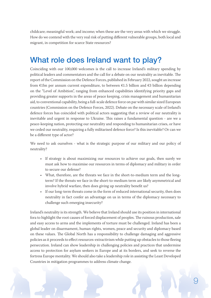childcare; meaningful work; and income; when these are the very areas with which we struggle. How do we contend with the very real risk of putting different vulnerable groups, both local and migrant, in competition for scarce State resources?

## What role does Ireland want to play?

Coinciding with our 100,000 welcomes is the call to increase Ireland's military spending by political leaders and commentators and the call for a debate on our neutrality as inevitable. The report of the Commission on the Defence Forces, published in February 2022, sought an increase from €1bn per annum current expenditure, to between €1.5 billion and €3 billion depending on the "Level of Ambition", ranging from enhanced capabilities identifying priority gaps and providing greater supports in the areas of peace keeping, crisis management and humanitarian aid, to conventional capability, being a full-scale defence force on par with similar sized European countries (Commission on the Defence Forces, 2022). Debate on the necessary scale of Ireland's defence forces has coincided with political actors suggesting that a review of our neutrality is inevitable and urgent in response to Ukraine. This raises a fundamental question - are we a peace-keeping nation, protecting our neutrality and responding to humanitarian crises, or have we ceded our neutrality, requiring a fully militarised defence force? Is this inevitable? Or can we be a different type of actor?

We need to ask ourselves - what is the strategic purpose of our military and our policy of neutrality?

- If strategy is about maximizing our resources to achieve our goals, then surely we must ask how to maximise our resources in terms of diplomacy and military in order to secure our defense?
- What, therefore, are the threats we face in the short-to-medium term and the longterm? If the threats we face in the short-to-medium term are likely asymmetrical and involve hybrid warfare, then does giving up neutrality benefit us?
- If our long-term threats come in the form of reduced international security, then does neutrality in fact confer an advantage on us in terms of the diplomacy necessary to challenge such emerging insecurity?

Ireland's neutrality is its strength. We believe that Ireland should use its position in international fora to highlight the root causes of forced displacement of peoples. The ruinous production, sale and easy access to arms and the implements of torture must be challenged. Ireland has been a global leader on disarmament, human rights, women, peace and security and diplomacy based on these values. The Global North has a responsibility to challenge damaging and aggressive policies as it proceeds to effect resources-extractivism while putting up obstacles to those fleeing persecution. Ireland can show leadership in challenging policies and practices that undermine access to protection for asylum seekers in Europe and at its borders, and seek to reverse the fortress Europe mentality. We should also take a leadership role in assisting the Least Developed Countries in mitigation programmes to address climate change.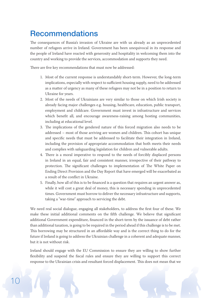## **Recommendations**

The consequences of Russia's invasion of Ukraine are with us already as an unprecedented number of refugees arrive in Ireland. Government has been unequivocal in its response and the people of Ireland have reacted with generosity and hospitality in welcoming them into the country and working to provide the services, accommodation and supports they need.

There are five key recommendations that must now be addressed:

- 1. Most of the current response is understandably short-term. However, the long-term implications, especially with respect to sufficient housing supply, need to be addressed as a matter of urgency as many of these refugees may not be in a position to return to Ukraine for years.
- 2. Most of the needs of Ukrainians are very similar to those on which Irish society is already facing major challenges e.g. housing, healthcare, education, public transport, employment and childcare. Government must invest in infrastructure and services which benefit all, and encourage awareness-raising among hosting communities, including at educational level.
- 3. The implications of the gendered nature of this forced migration also needs to be addressed – most of those arriving are women and children. This cohort has unique and specific needs that must be addressed to facilitate their integration in Ireland, including the provision of appropriate accommodation that both meets their needs and complies with safeguarding legislation for children and vulnerable adults.
- 4. There is a moral imperative to respond to the needs of forcibly displaced persons in Ireland in an equal, fair and consistent manner, irrespective of their pathway to protection. The significant challenges to implementation of The White Paper on Ending Direct Provision and the Day Report that have emerged will be exacerbated as a result of the conflict in Ukraine.
- 5. Finally, how all of this is to be financed is a question that requires an urgent answer as, while it will cost a great deal of money, this is necessary spending in unprecedented times. Government must borrow to deliver the necessary infrastructure and supports, taking a "war-time" approach to servicing the debt.

We need real social dialogue, engaging all stakeholders, to address the first four of these. We make these initial additional comments on the fifth challenge. We believe that significant additional Government expenditure, financed in the short-term by the issuance of debt rather than additional taxation, is going to be required in the period ahead if this challenge is to be met. This borrowing may be structured in an affordable way and is the correct thing to do for the future if Ireland is going to address the Ukrainian challenge in a coherent and adequate manner, but it is not without risk.

Ireland should engage with the EU Commission to ensure they are willing to show further flexibility and suspend the fiscal rules and ensure they are willing to support this correct response to the Ukrainian crisis and resultant forced displacement. This does not mean that we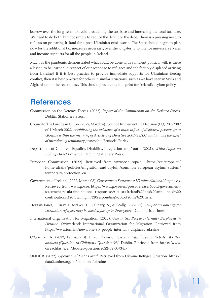borrow over the long-term to avoid broadening the tax base and increasing the total tax-take. We need to do both, but not simply to reduce the deficit or the debt. There is a pressing need to refocus on preparing Ireland for a post-Ukrainian crisis world. The State should begin to plan now for the additional tax measures necessary, over the long-term, to finance universal services and income supports for all the people in Ireland.

Much as the pandemic demonstrated what could be done with sufficient political will, is there a lesson to be learned in respect of our response to refugees and the forcibly displaced arriving from Ukraine? If it is best practice to provide immediate supports for Ukrainians fleeing conflict, then it is best practice for others in similar situations, such as we have seen in Syria and Afghanistan in the recent past. This should provide the blueprint for Ireland's asylum policy.

## **References**

- Commission on the Defence Forces. (2022). *Report of the Commission on the Defence Forces.* Dublin: Stationery Press.
- Council of the European Union. (2022, March 4). Council Implementing Decision (EU) 2022/382 of 4 March 2022. *establishing the existence of a mass influx of displaced persons from Ukraine within the meaning of Article 5 of Directive 2001/55/EC, and having the effect of introducing temporary protection*. Brussels: Eurlex.
- Department of Children, Equality, Disability, Integration and Youth. (2021). *White Paper on Ending Direct Provision.* Dublin: Stationery Press.
- European Commission. (2022). Retrieved from www.ec.europa.eu: https://ec.europa.eu/ home-affairs/policies/migration-and-asylum/common-european-asylum-system/ temporary-protection\_en
- Government of Ireland. (2022, March 08). *Government Statement: Ukraine National Responses*. Retrieved from www.gov.ie: https://www.gov.ie/en/press-release/60bfd-governmentstatement-re-ukraine-national-responses/#:~:text=Ireland%20has%20announced%20 contributions%20totalling,in%20responding%20to%20the%20crisis.
- Horgan-Jones, J., Bray, J., McGee, H., O'Leary, N., & Scally, D. (2022). *Temporary housing for Ukrainian refugees may be needed for up to three years.* Dublin: Irish Times.
- International Organization for Migration. (2022). *One in Six People Internally Displaced in Ukraine.* Switzerland: International Organization for Migration. Retrieved from https://www.iom.int/news/one-six-people-internally-displaced-ukraine
- O'Gorman, R. (2022, February 3). Direct Provision System. *Dáil Éireann Debate, Written answers (Question to Children), Question 341*. Dublin. Retrieved from https://www. oireachtas.ie/en/debates/question/2022-02-03/341/
- UNHCR. (2022). *Operational Data Portal*. Retrieved from Ukraine Refugee Situation: https:// data2.unhcr.org/en/situations/ukraine

11